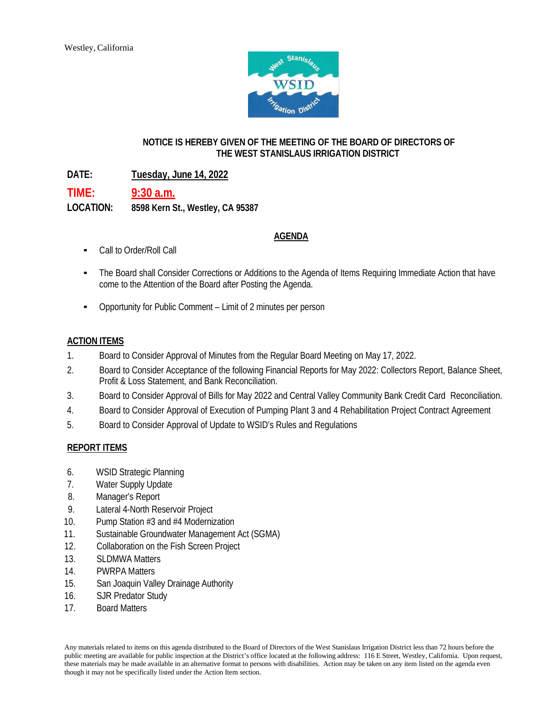

#### **NOTICE IS HEREBY GIVEN OF THE MEETING OF THE BOARD OF DIRECTORS OF THE WEST STANISLAUS IRRIGATION DISTRICT**

**DATE: Tuesday, June 14, 2022**

**TIME: 9:30 a.m.**

**LOCATION: 8598 Kern St., Westley, CA 95387**

# **AGENDA**

- Call to Order/Roll Call
- The Board shall Consider Corrections or Additions to the Agenda of Items Requiring Immediate Action that have come to the Attention of the Board after Posting the Agenda.
- Opportunity for Public Comment Limit of 2 minutes per person

# **ACTION ITEMS**

- 1. Board to Consider Approval of Minutes from the Regular Board Meeting on May 17, 2022.
- 2. Board to Consider Acceptance of the following Financial Reports for May 2022: Collectors Report, Balance Sheet, Profit & Loss Statement, and Bank Reconciliation.
- 3. Board to Consider Approval of Bills for May 2022 and Central Valley Community Bank Credit Card Reconciliation.
- 4. Board to Consider Approval of Execution of Pumping Plant 3 and 4 Rehabilitation Project Contract Agreement
- 5. Board to Consider Approval of Update to WSID's Rules and Regulations

# **REPORT ITEMS**

- 6. WSID Strategic Planning
- 7. Water Supply Update
- 8. Manager's Report
- 9. Lateral 4-North Reservoir Project
- 10. Pump Station #3 and #4 Modernization
- 11. Sustainable Groundwater Management Act (SGMA)
- 12. Collaboration on the Fish Screen Project
- 13. SLDMWA Matters
- 14. PWRPA Matters
- 15. San Joaquin Valley Drainage Authority
- 16. SJR Predator Study
- 17. Board Matters